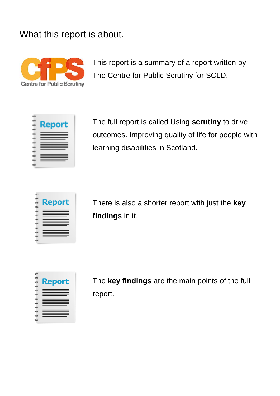#### What this report is about.



This report is a summary of a report written by The Centre for Public Scrutiny for SCLD.



The full report is called Using **scrutiny** to drive outcomes. Improving quality of life for people with learning disabilities in Scotland.

|   | <b>Report</b>   |
|---|-----------------|
|   |                 |
|   |                 |
|   |                 |
|   |                 |
|   |                 |
|   |                 |
|   | <u>est en d</u> |
| د |                 |
|   |                 |

There is also a shorter report with just the **key findings** in it.

**Report** 

The **key findings** are the main points of the full report.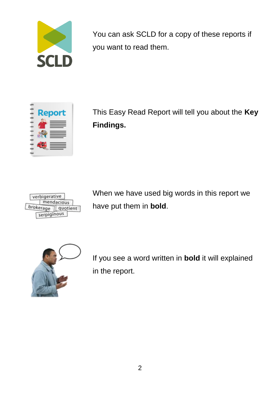

You can ask SCLD for a copy of these reports if you want to read them.



This Easy Read Report will tell you about the **Key Findings.**



When we have used big words in this report we have put them in **bold**.



If you see a word written in **bold** it will explained in the report.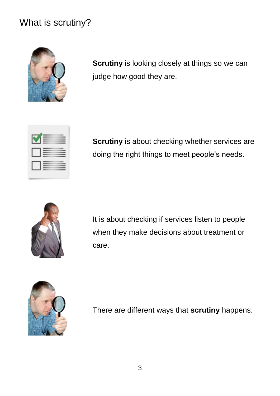### What is scrutiny?



**Scrutiny** is looking closely at things so we can judge how good they are.



**Scrutiny** is about checking whether services are doing the right things to meet people's needs.



It is about checking if services listen to people when they make decisions about treatment or care.



There are different ways that **scrutiny** happens.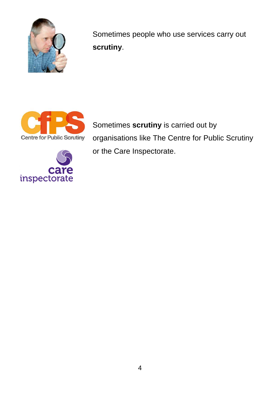

Sometimes people who use services carry out **scrutiny**.



Sometimes **scrutiny** is carried out by organisations like The Centre for Public Scrutiny or the Care Inspectorate.

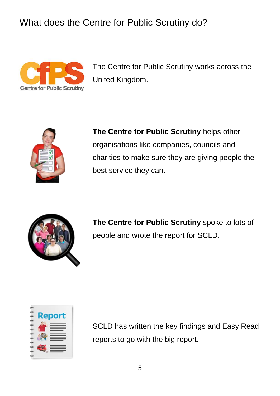What does the Centre for Public Scrutiny do?



The Centre for Public Scrutiny works across the United Kingdom.



**The Centre for Public Scrutiny** helps other organisations like companies, councils and charities to make sure they are giving people the best service they can.



**The Centre for Public Scrutiny** spoke to lots of people and wrote the report for SCLD.



SCLD has written the key findings and Easy Read reports to go with the big report.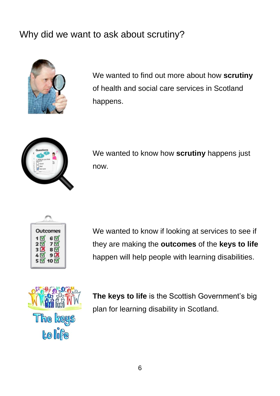## Why did we want to ask about scrutiny?



We wanted to find out more about how **scrutiny** of health and social care services in Scotland happens.



We wanted to know how **scrutiny** happens just now.

| Outcomes<br>6 M<br>1 M<br>25<br>7 N<br>3 <br>8 E<br>9<br>41 |  |  |  |
|-------------------------------------------------------------|--|--|--|
| 5 N<br>10 <b>N</b>                                          |  |  |  |

We wanted to know if looking at services to see if they are making the **outcomes** of the **keys to life** happen will help people with learning disabilities.



**The keys to life** is the Scottish Government's big plan for learning disability in Scotland.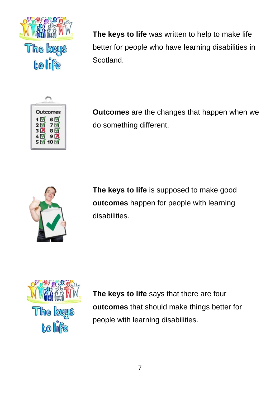

**The keys to life** was written to help to make life better for people who have learning disabilities in Scotland.



**Outcomes** are the changes that happen when we do something different.



**The keys to life** is supposed to make good **outcomes** happen for people with learning disabilities.



**The keys to life** says that there are four **outcomes** that should make things better for people with learning disabilities.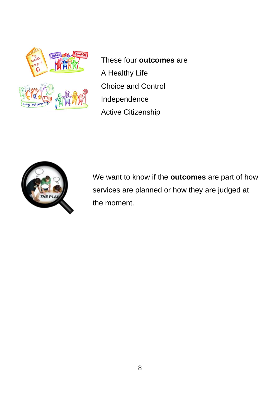

 These four **outcomes** are A Healthy Life Choice and Control Independence Active Citizenship



We want to know if the **outcomes** are part of how services are planned or how they are judged at the moment.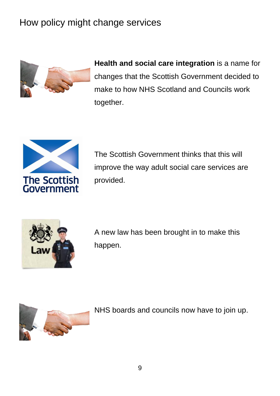# How policy might change services



**Health and social care integration** is a name for changes that the Scottish Government decided to make to how NHS Scotland and Councils work together.



The Scottish Government thinks that this will improve the way adult social care services are provided.



A new law has been brought in to make this happen.



NHS boards and councils now have to join up.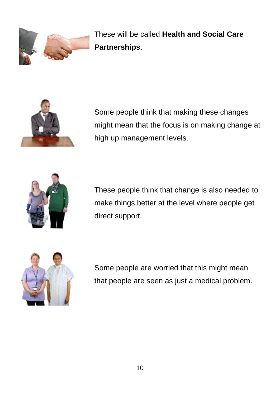

These will be called **Health and Social Care Partnerships**.



Some people think that making these changes might mean that the focus is on making change at high up management levels.



These people think that change is also needed to make things better at the level where people get direct support.



Some people are worried that this might mean that people are seen as just a medical problem.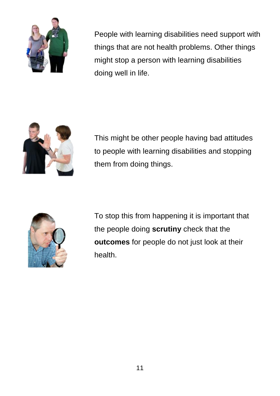

People with learning disabilities need support with things that are not health problems. Other things might stop a person with learning disabilities doing well in life.



This might be other people having bad attitudes to people with learning disabilities and stopping them from doing things.



To stop this from happening it is important that the people doing **scrutiny** check that the **outcomes** for people do not just look at their health.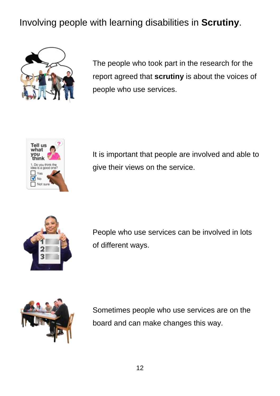# Involving people with learning disabilities in **Scrutiny**.



The people who took part in the research for the report agreed that **scrutiny** is about the voices of people who use services.



It is important that people are involved and able to give their views on the service.



People who use services can be involved in lots of different ways.



Sometimes people who use services are on the board and can make changes this way.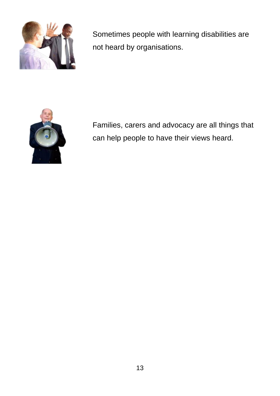

Sometimes people with learning disabilities are not heard by organisations.



Families, carers and advocacy are all things that can help people to have their views heard.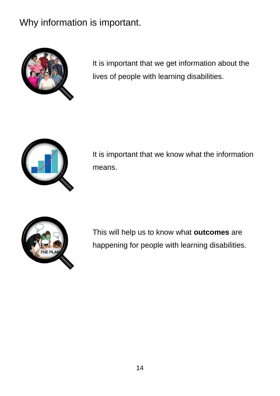# Why information is important.



It is important that we get information about the lives of people with learning disabilities.



It is important that we know what the information means.



This will help us to know what **outcomes** are happening for people with learning disabilities.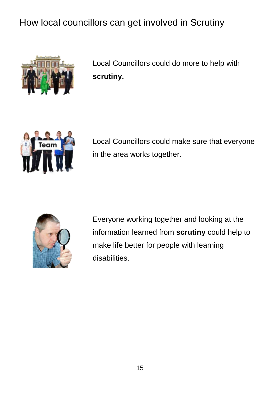# How local councillors can get involved in Scrutiny



Local Councillors could do more to help with **scrutiny.**



Local Councillors could make sure that everyone in the area works together.



Everyone working together and looking at the information learned from **scrutiny** could help to make life better for people with learning disabilities.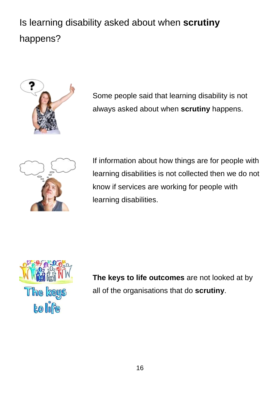# Is learning disability asked about when **scrutiny** happens?



Some people said that learning disability is not always asked about when **scrutiny** happens.



If information about how things are for people with learning disabilities is not collected then we do not know if services are working for people with learning disabilities.



**The keys to life outcomes** are not looked at by all of the organisations that do **scrutiny**.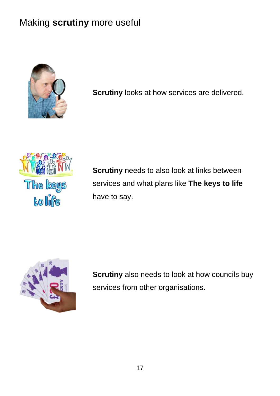# Making **scrutiny** more useful



**Scrutiny** looks at how services are delivered.



**Scrutiny** needs to also look at links between services and what plans like **The keys to life** have to say.



**Scrutiny** also needs to look at how councils buy services from other organisations.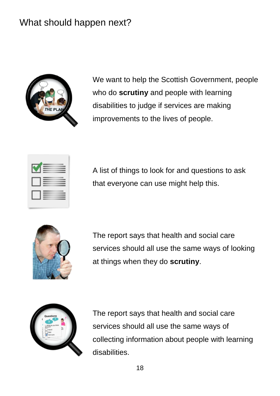### What should happen next?



We want to help the Scottish Government, people who do **scrutiny** and people with learning disabilities to judge if services are making improvements to the lives of people.

|  | -<br>__                  |
|--|--------------------------|
|  | $\overline{\phantom{a}}$ |
|  | __                       |

A list of things to look for and questions to ask that everyone can use might help this.



The report says that health and social care services should all use the same ways of looking at things when they do **scrutiny**.



The report says that health and social care services should all use the same ways of collecting information about people with learning disabilities.